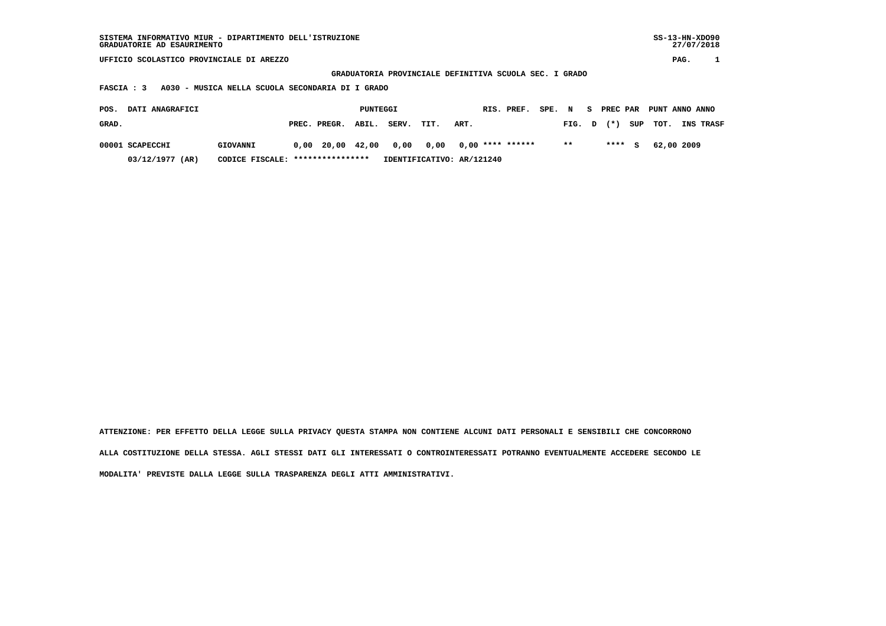| SISTEMA INFORMATIVO MIUR - DIPARTIMENTO DELL'ISTRUZIONE<br>GRADUATORIE AD ESAURIMENTO |          |      |                                   |       |       |                           |      |            |                    |                |       | $SS-13-HN-XDO90$<br>27/07/2018 |        |                |            |           |  |
|---------------------------------------------------------------------------------------|----------|------|-----------------------------------|-------|-------|---------------------------|------|------------|--------------------|----------------|-------|--------------------------------|--------|----------------|------------|-----------|--|
| UFFICIO SCOLASTICO PROVINCIALE DI AREZZO                                              |          |      |                                   |       |       |                           |      |            |                    |                |       |                                |        | PAG.           |            |           |  |
| GRADUATORIA PROVINCIALE DEFINITIVA SCUOLA SEC. I GRADO                                |          |      |                                   |       |       |                           |      |            |                    |                |       |                                |        |                |            |           |  |
| A030 - MUSICA NELLA SCUOLA SECONDARIA DI I GRADO<br>FASCIA : 3                        |          |      |                                   |       |       |                           |      |            |                    |                |       |                                |        |                |            |           |  |
| DATI ANAGRAFICI<br>POS.                                                               | PUNTEGGI |      |                                   |       |       |                           |      | RIS. PREF. | SPE. N             | PREC PAR<br>S. |       |                                |        | PUNT ANNO ANNO |            |           |  |
| GRAD.                                                                                 |          |      | PREC. PREGR.                      | ABIL. | SERV. | TIT.                      | ART. |            |                    |                | FIG.  | D                              | $(* )$ | SUP            | TOT.       | INS TRASF |  |
| 00001 SCAPECCHI                                                                       | GIOVANNI | 0,00 | 20,00 42,00                       |       | 0,00  | 0,00                      |      |            | $0,00$ **** ****** |                | $* *$ |                                | ****   | S.             | 62,00 2009 |           |  |
| 03/12/1977 (AR)                                                                       |          |      | CODICE FISCALE: ***************** |       |       | IDENTIFICATIVO: AR/121240 |      |            |                    |                |       |                                |        |                |            |           |  |

 **ATTENZIONE: PER EFFETTO DELLA LEGGE SULLA PRIVACY QUESTA STAMPA NON CONTIENE ALCUNI DATI PERSONALI E SENSIBILI CHE CONCORRONO ALLA COSTITUZIONE DELLA STESSA. AGLI STESSI DATI GLI INTERESSATI O CONTROINTERESSATI POTRANNO EVENTUALMENTE ACCEDERE SECONDO LE MODALITA' PREVISTE DALLA LEGGE SULLA TRASPARENZA DEGLI ATTI AMMINISTRATIVI.**